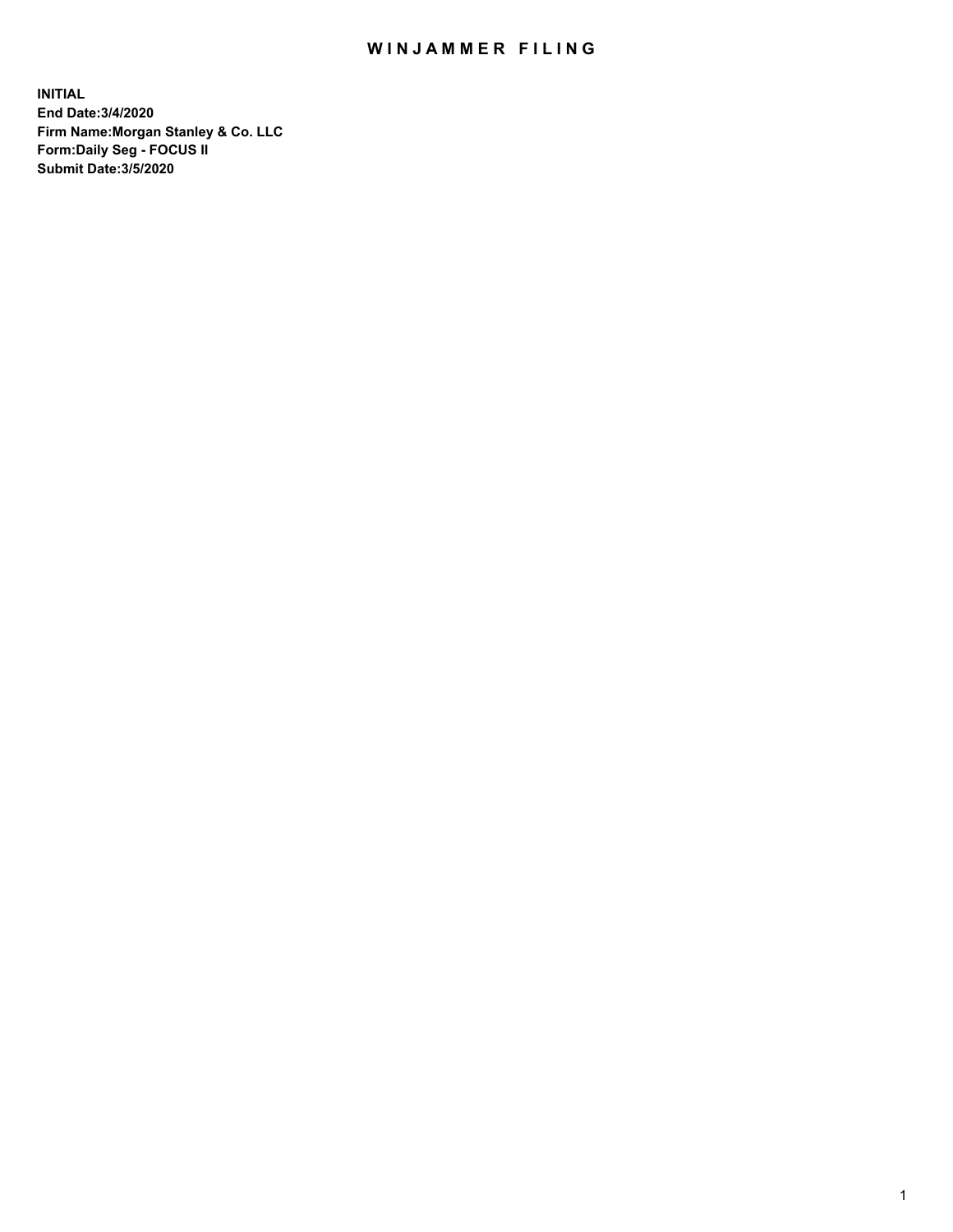## WIN JAMMER FILING

**INITIAL End Date:3/4/2020 Firm Name:Morgan Stanley & Co. LLC Form:Daily Seg - FOCUS II Submit Date:3/5/2020**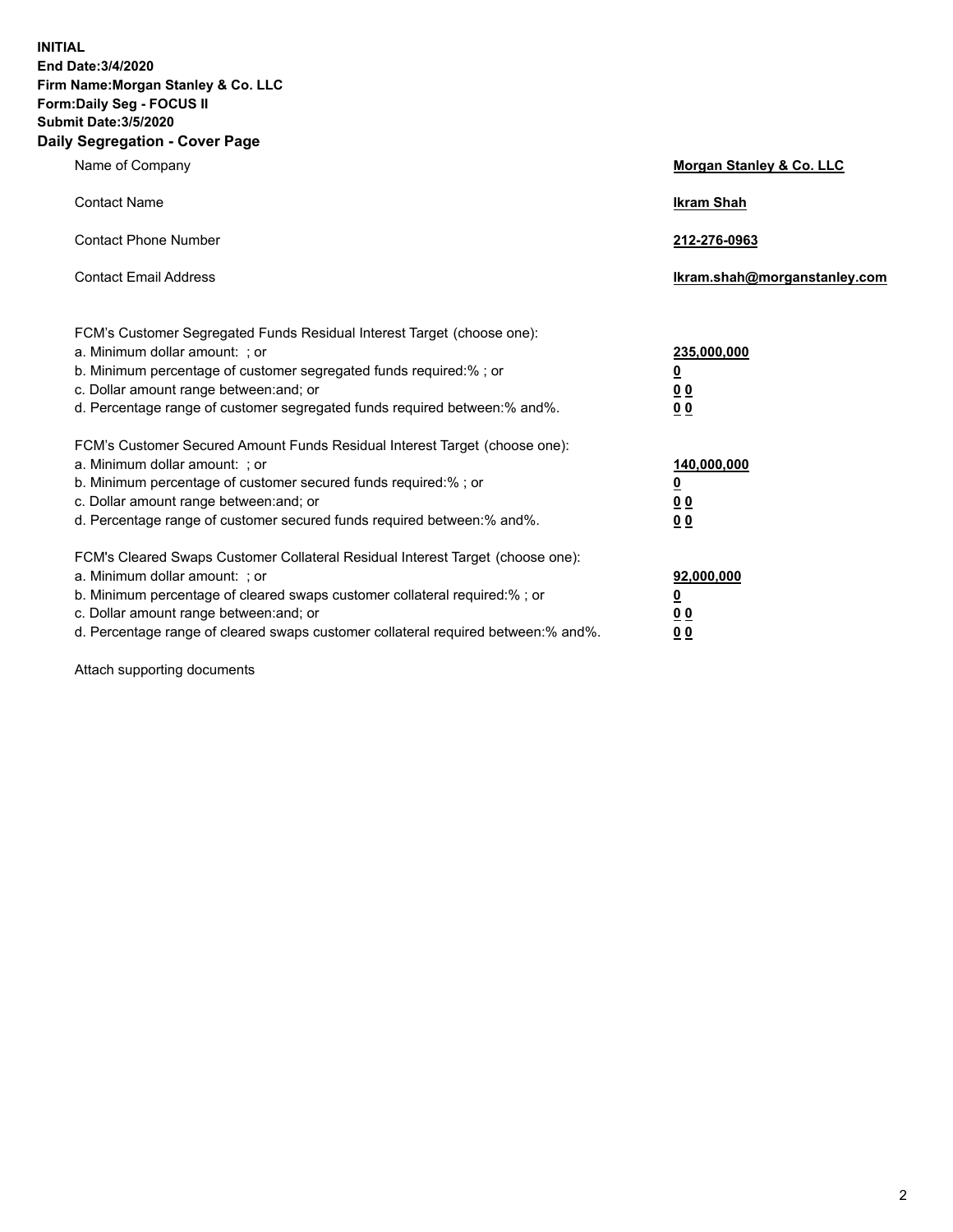**INITIAL End Date:3/4/2020 Firm Name:Morgan Stanley & Co. LLC Form:Daily Seg - FOCUS II Submit Date:3/5/2020 Daily Segregation - Cover Page**

| Name of Company                                                                   | <b>Morgan Stanley &amp; Co. LLC</b> |
|-----------------------------------------------------------------------------------|-------------------------------------|
| <b>Contact Name</b>                                                               | <b>Ikram Shah</b>                   |
| <b>Contact Phone Number</b>                                                       | 212-276-0963                        |
| <b>Contact Email Address</b>                                                      | Ikram.shah@morganstanley.com        |
| FCM's Customer Segregated Funds Residual Interest Target (choose one):            |                                     |
| a. Minimum dollar amount: ; or                                                    | 235,000,000                         |
| b. Minimum percentage of customer segregated funds required:% ; or                | <u>0</u>                            |
| c. Dollar amount range between: and; or                                           | <u>00</u>                           |
| d. Percentage range of customer segregated funds required between:% and%.         | 0 Q                                 |
| FCM's Customer Secured Amount Funds Residual Interest Target (choose one):        |                                     |
| a. Minimum dollar amount: ; or                                                    | 140,000,000                         |
| b. Minimum percentage of customer secured funds required:%; or                    | <u>0</u>                            |
| c. Dollar amount range between: and; or                                           | <u>0 0</u>                          |
| d. Percentage range of customer secured funds required between: % and %.          | 0 <sup>0</sup>                      |
| FCM's Cleared Swaps Customer Collateral Residual Interest Target (choose one):    |                                     |
| a. Minimum dollar amount: ; or                                                    | 92,000,000                          |
| b. Minimum percentage of cleared swaps customer collateral required:% ; or        | <u>0</u>                            |
| c. Dollar amount range between: and; or                                           | <u>00</u>                           |
| d. Percentage range of cleared swaps customer collateral required between:% and%. | 0 <sub>0</sub>                      |

Attach supporting documents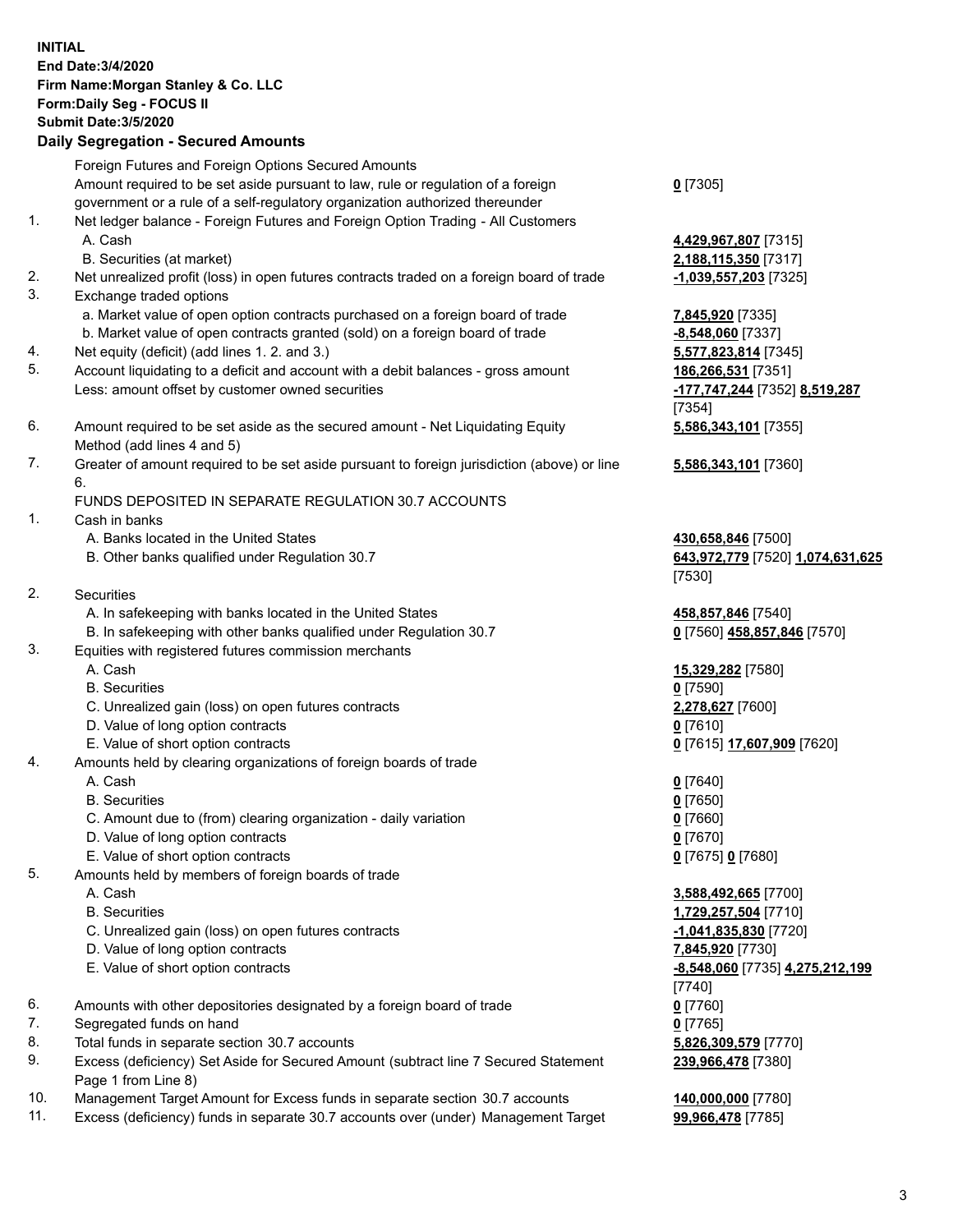|     | <b>INITIAL</b><br>End Date: 3/4/2020<br>Firm Name: Morgan Stanley & Co. LLC<br>Form: Daily Seg - FOCUS II<br><b>Submit Date: 3/5/2020</b>                                                                               |                                                                  |
|-----|-------------------------------------------------------------------------------------------------------------------------------------------------------------------------------------------------------------------------|------------------------------------------------------------------|
|     | <b>Daily Segregation - Secured Amounts</b>                                                                                                                                                                              |                                                                  |
|     | Foreign Futures and Foreign Options Secured Amounts<br>Amount required to be set aside pursuant to law, rule or regulation of a foreign<br>government or a rule of a self-regulatory organization authorized thereunder | $0$ [7305]                                                       |
| 1.  | Net ledger balance - Foreign Futures and Foreign Option Trading - All Customers<br>A. Cash<br>B. Securities (at market)                                                                                                 | 4,429,967,807 [7315]<br>2,188,115,350 [7317]                     |
| 2.  | Net unrealized profit (loss) in open futures contracts traded on a foreign board of trade                                                                                                                               | -1,039,557,203 [7325]                                            |
| 3.  | Exchange traded options                                                                                                                                                                                                 |                                                                  |
|     | a. Market value of open option contracts purchased on a foreign board of trade<br>b. Market value of open contracts granted (sold) on a foreign board of trade                                                          | 7,845,920 [7335]<br>$-8,548,060$ [7337]                          |
| 4.  | Net equity (deficit) (add lines 1. 2. and 3.)                                                                                                                                                                           | 5,577,823,814 [7345]                                             |
| 5.  | Account liquidating to a deficit and account with a debit balances - gross amount<br>Less: amount offset by customer owned securities                                                                                   | 186,266,531 [7351]<br>-177,747,244 [7352] 8,519,287<br>[7354]    |
| 6.  | Amount required to be set aside as the secured amount - Net Liquidating Equity<br>Method (add lines 4 and 5)                                                                                                            | 5,586,343,101 [7355]                                             |
| 7.  | Greater of amount required to be set aside pursuant to foreign jurisdiction (above) or line<br>6.                                                                                                                       | 5,586,343,101 [7360]                                             |
|     | FUNDS DEPOSITED IN SEPARATE REGULATION 30.7 ACCOUNTS                                                                                                                                                                    |                                                                  |
| 1.  | Cash in banks                                                                                                                                                                                                           |                                                                  |
|     | A. Banks located in the United States<br>B. Other banks qualified under Regulation 30.7                                                                                                                                 | 430,658,846 [7500]<br>643,972,779 [7520] 1,074,631,625<br>[7530] |
| 2.  | Securities                                                                                                                                                                                                              |                                                                  |
|     | A. In safekeeping with banks located in the United States                                                                                                                                                               | 458,857,846 [7540]                                               |
|     | B. In safekeeping with other banks qualified under Regulation 30.7                                                                                                                                                      | 0 [7560] 458,857,846 [7570]                                      |
| 3.  | Equities with registered futures commission merchants                                                                                                                                                                   |                                                                  |
|     | A. Cash                                                                                                                                                                                                                 | 15,329,282 [7580]                                                |
|     | <b>B.</b> Securities                                                                                                                                                                                                    | $0$ [7590]                                                       |
|     | C. Unrealized gain (loss) on open futures contracts                                                                                                                                                                     | 2,278,627 [7600]                                                 |
|     | D. Value of long option contracts                                                                                                                                                                                       | <u>0</u> [7610]                                                  |
|     | E. Value of short option contracts                                                                                                                                                                                      | 0 [7615] 17,607,909 [7620]                                       |
| 4.  | Amounts held by clearing organizations of foreign boards of trade                                                                                                                                                       |                                                                  |
|     | A. Cash                                                                                                                                                                                                                 | $0$ [7640]                                                       |
|     | <b>B.</b> Securities                                                                                                                                                                                                    | $0$ [7650]                                                       |
|     | C. Amount due to (from) clearing organization - daily variation                                                                                                                                                         | $0$ [7660]                                                       |
|     | D. Value of long option contracts                                                                                                                                                                                       | $0$ [7670]                                                       |
|     | E. Value of short option contracts                                                                                                                                                                                      | 0 [7675] 0 [7680]                                                |
| 5.  | Amounts held by members of foreign boards of trade                                                                                                                                                                      |                                                                  |
|     | A. Cash                                                                                                                                                                                                                 | 3,588,492,665 [7700]                                             |
|     | <b>B.</b> Securities                                                                                                                                                                                                    | 1,729,257,504 [7710]                                             |
|     | C. Unrealized gain (loss) on open futures contracts                                                                                                                                                                     | $-1,041,835,830$ [7720]                                          |
|     | D. Value of long option contracts                                                                                                                                                                                       | 7,845,920 [7730]                                                 |
|     | E. Value of short option contracts                                                                                                                                                                                      | -8,548,060 [7735] 4,275,212,199                                  |
|     |                                                                                                                                                                                                                         | $[7740]$                                                         |
| 6.  | Amounts with other depositories designated by a foreign board of trade                                                                                                                                                  | $0$ [7760]                                                       |
| 7.  | Segregated funds on hand                                                                                                                                                                                                | $0$ [7765]                                                       |
| 8.  | Total funds in separate section 30.7 accounts                                                                                                                                                                           | 5,826,309,579 [7770]                                             |
| 9.  | Excess (deficiency) Set Aside for Secured Amount (subtract line 7 Secured Statement                                                                                                                                     | 239,966,478 [7380]                                               |
| 10. | Page 1 from Line 8)<br>Management Target Amount for Excess funds in separate section 30.7 accounts                                                                                                                      | 140,000,000 [7780]                                               |

11. Excess (deficiency) funds in separate 30.7 accounts over (under) Management Target **99,966,478** [7785]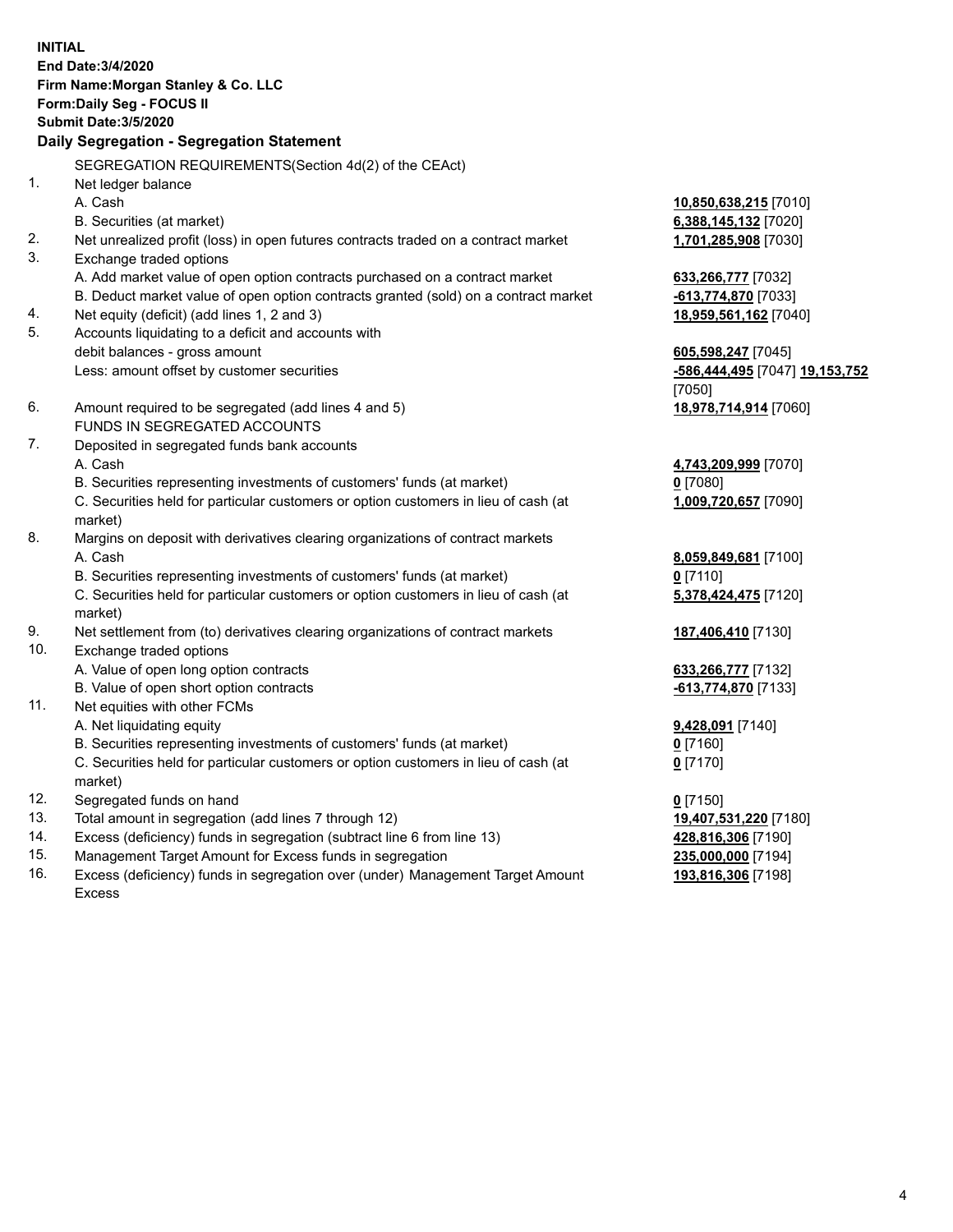|     | <b>INITIAL</b><br>End Date: 3/4/2020<br>Firm Name: Morgan Stanley & Co. LLC<br>Form: Daily Seg - FOCUS II<br><b>Submit Date: 3/5/2020</b><br>Daily Segregation - Segregation Statement |                                       |
|-----|----------------------------------------------------------------------------------------------------------------------------------------------------------------------------------------|---------------------------------------|
|     | SEGREGATION REQUIREMENTS(Section 4d(2) of the CEAct)                                                                                                                                   |                                       |
| 1.  | Net ledger balance                                                                                                                                                                     |                                       |
|     | A. Cash                                                                                                                                                                                | 10,850,638,215 [7010]                 |
|     | B. Securities (at market)                                                                                                                                                              | 6,388,145,132 [7020]                  |
| 2.  | Net unrealized profit (loss) in open futures contracts traded on a contract market                                                                                                     | 1,701,285,908 [7030]                  |
| 3.  | Exchange traded options                                                                                                                                                                |                                       |
|     | A. Add market value of open option contracts purchased on a contract market                                                                                                            | 633,266,777 [7032]                    |
|     | B. Deduct market value of open option contracts granted (sold) on a contract market                                                                                                    | -613,774,870 [7033]                   |
| 4.  | Net equity (deficit) (add lines 1, 2 and 3)                                                                                                                                            | 18,959,561,162 [7040]                 |
| 5.  | Accounts liquidating to a deficit and accounts with                                                                                                                                    |                                       |
|     | debit balances - gross amount                                                                                                                                                          | 605,598,247 [7045]                    |
|     | Less: amount offset by customer securities                                                                                                                                             | <u>-586,444,495</u> [7047] 19,153,752 |
|     |                                                                                                                                                                                        | [7050]                                |
| 6.  | Amount required to be segregated (add lines 4 and 5)                                                                                                                                   | 18,978,714,914 [7060]                 |
|     | FUNDS IN SEGREGATED ACCOUNTS                                                                                                                                                           |                                       |
| 7.  | Deposited in segregated funds bank accounts                                                                                                                                            |                                       |
|     | A. Cash                                                                                                                                                                                | 4,743,209,999 [7070]                  |
|     | B. Securities representing investments of customers' funds (at market)                                                                                                                 | 0 [7080]                              |
|     | C. Securities held for particular customers or option customers in lieu of cash (at                                                                                                    | 1,009,720,657 [7090]                  |
| 8.  | market)                                                                                                                                                                                |                                       |
|     | Margins on deposit with derivatives clearing organizations of contract markets<br>A. Cash                                                                                              |                                       |
|     | B. Securities representing investments of customers' funds (at market)                                                                                                                 | 8,059,849,681 [7100]<br>$0$ [7110]    |
|     | C. Securities held for particular customers or option customers in lieu of cash (at                                                                                                    | 5,378,424,475 [7120]                  |
|     | market)                                                                                                                                                                                |                                       |
| 9.  | Net settlement from (to) derivatives clearing organizations of contract markets                                                                                                        | 187,406,410 [7130]                    |
| 10. | Exchange traded options                                                                                                                                                                |                                       |
|     | A. Value of open long option contracts                                                                                                                                                 | 633,266,777 [7132]                    |
|     | B. Value of open short option contracts                                                                                                                                                | -613,774,870 [7133]                   |
| 11. | Net equities with other FCMs                                                                                                                                                           |                                       |
|     | A. Net liquidating equity                                                                                                                                                              | 9,428,091 [7140]                      |
|     | B. Securities representing investments of customers' funds (at market)                                                                                                                 | $0$ [7160]                            |
|     | C. Securities held for particular customers or option customers in lieu of cash (at                                                                                                    | $0$ [7170]                            |
|     | market)                                                                                                                                                                                |                                       |
| 12. | Segregated funds on hand                                                                                                                                                               | $0$ [7150]                            |
| 13. | Total amount in segregation (add lines 7 through 12)                                                                                                                                   | 19,407,531,220 [7180]                 |
| 14. | Excess (deficiency) funds in segregation (subtract line 6 from line 13)                                                                                                                | 428,816,306 [7190]                    |
| 15. | Management Target Amount for Excess funds in segregation                                                                                                                               | 235,000,000 [7194]                    |

16. Excess (deficiency) funds in segregation over (under) Management Target Amount Excess

**193,816,306** [7198]